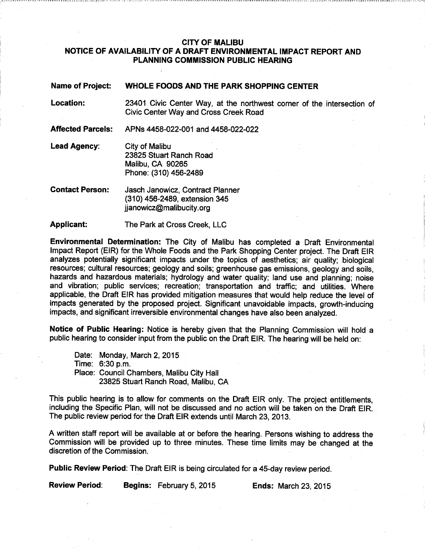## CITY OF MALIBU NOTICE OF AVAILABILITY OF A DRAFT ENVIRONMENTAL IMPACT REPORT AND PLANNING COMMISSION PUBLIC HEARING

IMA of Project: WHOLE FOODS AND THE BARK SHOPPING CENT

| <b>NATILE OF LIQUECT:</b> | WHOLE FOODS AND THE PARK SHOPPING CENTER                                                                               |
|---------------------------|------------------------------------------------------------------------------------------------------------------------|
| <b>Location:</b>          | 23401 Civic Center Way, at the northwest corner of the intersection of<br><b>Civic Center Way and Cross Creek Road</b> |
| <b>Affected Parcels:</b>  | APNs 4458-022-001 and 4458-022-022                                                                                     |
| Lead Agency:              | City of Malibu<br>23825 Stuart Ranch Road<br>Malibu, CA 90265<br>Phone: (310) 456-2489                                 |
| <b>Contact Person:</b>    | Jasch Janowicz, Contract Planner<br>(310) 456-2489, extension 345                                                      |

(310) 456-2489, extension 345 jjanowicz@malibucity.org

Applicant: The Park at Cross Creek, LLC

Environmental Determination: The City of Malibu has completed a Draft Environmental Impact Report (EIR) for the Whole Foods and the Park Shopping Center project. The Draft EIR analyzes potentially significant impacts under the topics of aesthetics; air quality; biological resources; cultural resources; geology and soils; greenhouse gas emissions, geology and soils, hazards and hazardous materials; hydrology and water quality; land use and planning; noise and vibration; public services; recreation; transportation and traffic; and utilities. Where applicable, the Draft EIR has provided mitigation measures that would help reduce the level of impacts generated by the proposed project. Significant unavoidable impacts, growth-inducing impacts, and significant irreversible environmental changes have also been analyzed.

Notice of Public Hearing: Notice is hereby given that the Planning Commission will hold a public hearing to consider input from the public on the Draft EIR. The hearing will be held on:

Date: Monday, March 2, 2015 Time: 6:30 p.m. Place: Council Chambers, Malibu City Hall 23825 Stuart Ranch Road, Malibu, CA

This public hearing is to allow for comments on the Draft EIR only. The project entitlements, including the Specific Plan, will not be discussed and no action will be taken on the Draft EIR. The public review period for the Draft EIR extends until March 23, 2013.

A written staff report will be available at or before the hearing. Persons wishing to address the Commission will be provided up to three minutes. These time limits may be changed at the discretion of the Commission.

Public Review Period: The Draft EIR is being circulated for a 45-day review period.

Review Period: Begins: February 5, 2015. Ends: March 23, 2015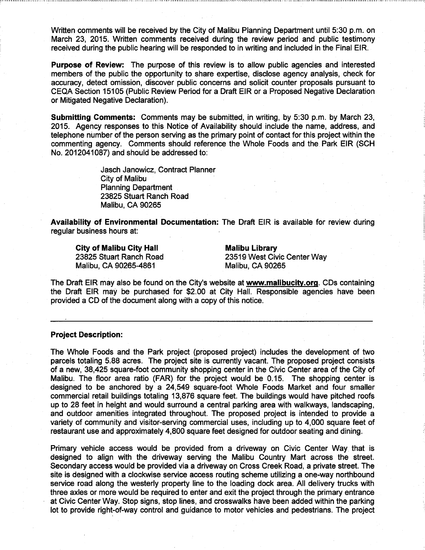Written comments will be received by the City of Malibu Planning Department until 5:30 p.m. on March 23, 2015. Written comments received during the review period and public testimony received during the public hearing will be responded to in writing and included in the Final EIR.

Purpose of Review: The purpose of this review is to allow public agencies and interested members of the public the opportunity to share expertise, disclose agency analysis, check for accuracy, detect omission, discover public concerns and solicit counter proposals pursuant to CEQA Section 15105 (Public Review Period for a Draft EIR or a Proposed Negative Declaration or Mitigated Negative Declaration).

Submitting Comments: Comments may be submitted, in writing, by 5:30 p.m. by March 23, 2015. Agency responses to this. Notice of Availability should include the name, address, and telephone number of the person serving as the primary point of contact for this project within the commenting agency. Comments should reference the Whole Foods. and the. Park EIR (SCH No. 2012041087) and should be addressed to

> Jasch Janowicz, Contract Planner City of Malibu Planning Department 23825 Stuart Ranch Road Malibu, CA 90265

Availability of Environmental Documentation: The Draft EIR is available for review during regular business hours at:

City of Malibu City Hall Malibu Library Malibu, CA 90265-4861 Malibu, CA 90265

23825 Stuart Ranch Road 23519 West Civic Center Way

The Draft EIR may also be found on the City's website at www.malibucitv.orq. CDs containing the Draft EIR may be purchased for \$2.00 at City Hall. Responsible agencies have been provided a CD of the document along with a copy of this notice.

## Project Description:

The Whole Foods and the Park project (proposed project) includes the development of two parcels totaling 5.88 acres. The project site is currently vacant. The proposed project consists of a new, 38,425 square-foot community shopping center in the Civic Center area of the City of Malibu. The floor area ratio (FAR) for the project would be 0.15. The shopping center is designed to be anchored by a 24,549 square-foot Whole Foods Market and four smaller commercial retail buildings totaling 13,876 square feet. The buildings would have pitched roofs up to 28 feet in height and would surround a central parking area with walkways, landscaping, and outdoor amenities integrated throughout. The proposed project is intended to provide a variety of community and visitor-serving commercial uses, including up to 4,000 square feet of restaurant use and approximately 4,800 square feet designed for outdoor seating and dining.

Primary vehicle access would be provided from a driveway on Civic Center Way. that is designed to align with the driveway serving the Malibu Country Mart across the street. Secondary access would be provided via a driveway on Cross Creek Road; a private street. The site is designed with a clockwise service access routing scheme utilizing a one-way northbound service road along the westerly property line to the loading dock area. All delivery trucks with three axles or more would be required to enter and exit the project through the primary entrance at Civic Center Way. Stop signs, stop lines, and crosswalks have been added within the parking fot to provide right-of-way control and guidance to motor vehicles and pedestrians. The project